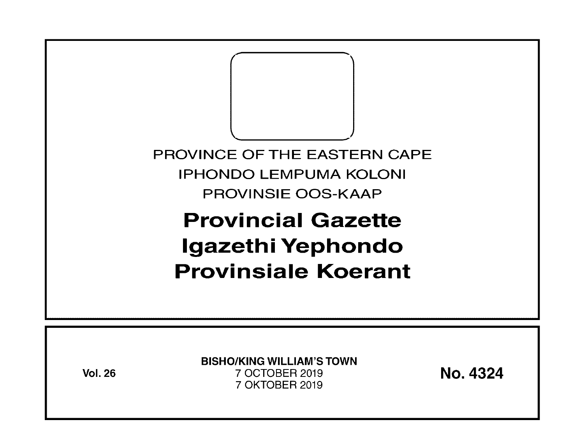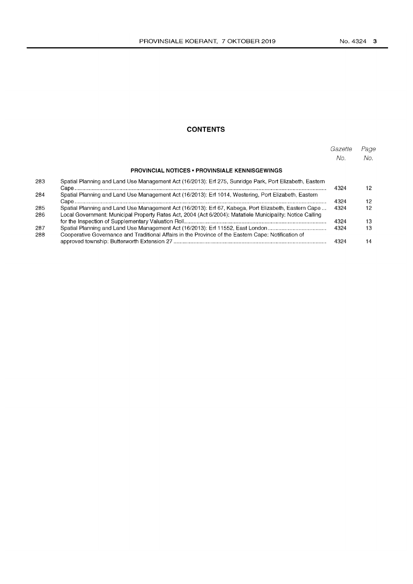## **CONTENTS**

|            |                                                                                                                                                                                                                   | Gazette<br>No. | Page<br>No. |
|------------|-------------------------------------------------------------------------------------------------------------------------------------------------------------------------------------------------------------------|----------------|-------------|
|            | <b>PROVINCIAL NOTICES • PROVINSIALE KENNISGEWINGS</b>                                                                                                                                                             |                |             |
| 283        | Spatial Planning and Land Use Management Act (16/2013): Erf 275, Sunridge Park, Port Elizabeth, Eastern                                                                                                           | 4324           | 12          |
| 284        | Spatial Planning and Land Use Management Act (16/2013): Erf 1014, Westering, Port Elizabeth, Eastern                                                                                                              | 4324           | 12          |
| 285<br>286 | Spatial Planning and Land Use Management Act (16/2013): Erf 67, Kabega, Port Elizabeth, Eastern Cape<br>Local Government: Municipal Property Rates Act, 2004 (Act 6/2004): Matatiele Municipality: Notice Calling | 4324           | 12          |
|            |                                                                                                                                                                                                                   | 4324           | 13          |
| 287<br>288 | Cooperative Governance and Traditional Affairs in the Province of the Eastern Cape: Notification of                                                                                                               | 4324           | 13          |
|            |                                                                                                                                                                                                                   | 4324           | 14          |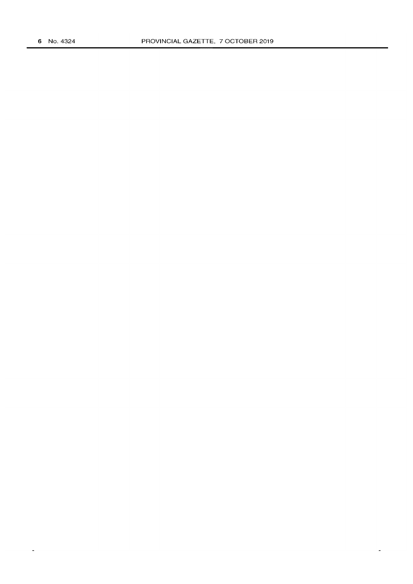$\bar{\mathcal{A}}$ 

 $\hat{\phantom{a}}$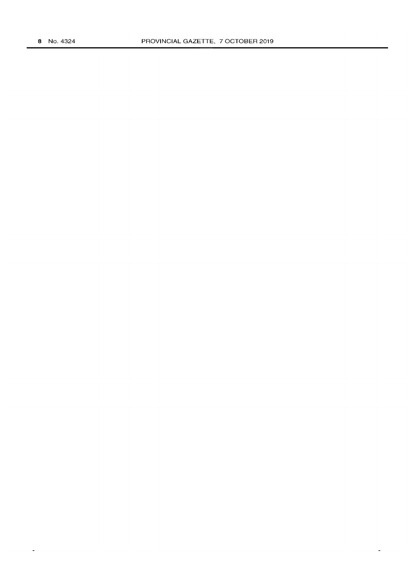$\Box$ 

 $\overline{\phantom{a}}$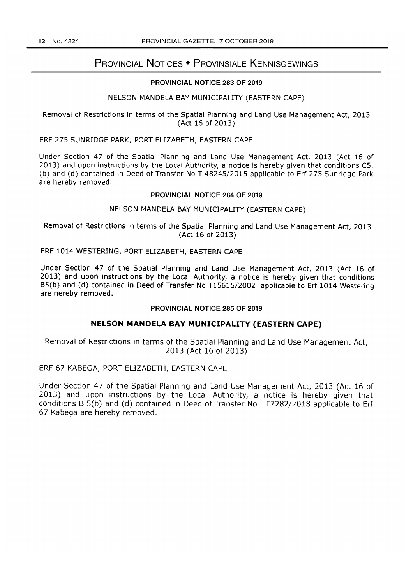# PROVINCIAL NOTICES • PROVINSIALE KENNISGEWINGS

### PROVINCIAL NOTICE 283 **OF** 2019

#### NELSON MANDELA BAY MUNICIPALITY (EASTERN CAPE)

Removal of Restrictions in terms of the Spatial Planning and Land Use Management Act, 2013 (Act 16 of 2013)

ERF 275 SUNRIDGE PARK, PORT ELIZABETH, EASTERN CAPE

Under Section 47 of the Spatial Planning and Land Use Management Act, 2013 (Act 16 of 2013) and upon instructions by the Local Authority, a notice is hereby given that conditions C5. (b) and (d) contained in Deed of Transfer No T 48245/2015 applicable to Erf 275 Sunridge Park are hereby removed.

#### PROVINCIAL NOTICE 284 **OF** 2019

#### NELSON MANDELA BAY MUNICIPALITY (EASTERN CAPE)

Removal of Restrictions in terms of the Spatial Planning and Land Use Management Act, 2013 (Act 16 of 2013)

### ERF 1014 WESTERING, PORT ELIZABETH, EASTERN CAPE

Under Section 47 of the Spatial Planning and Land Use Management Act, 2013 (Act 16 of 2013) and upon instructions by the Local Authority, a notice is hereby given that conditions B5(b) and (d) contained in Deed of Transfer No T15615/2002 applicable to Erf 1014 Westering are hereby removed.

#### PROVINCIAL NOTICE 285 **OF** 2019

### **NELSON MANDELA BAY MUNICIPALITY (EASTERN CAPE)**

Removal of Restrictions in terms of the Spatial Planning and Land Use Management Act, 2013 (Act 16 of 2013)

ERF 67 KABEGA, PORT ELIZABETH, EASTERN CAPE

Under Section 47 of the Spatial Planning and Land Use Management Act, 2013 (Act 16 of 2013) and upon instructions by the Local Authority, a notice is hereby given that conditions B.5(b) and (d) contained in Deed of Transfer No T7282/2018 applicable to Erf 67 Kabega are hereby removed.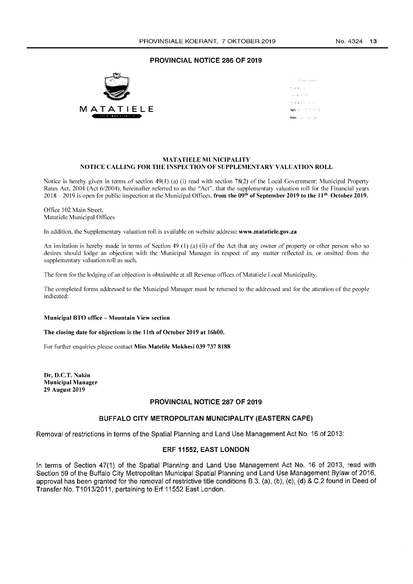### PROVINCIAL NOTICE 286 OF 2019



| That is the same in the paper |
|-------------------------------|
| <b>SUPRATA</b>                |
| and for a set-                |
| 人の性能についてない                    |
| Tel: 30 J.C. 2.3115           |
| Fax: Lond's Cool              |

#### MATATIELE MUNICIPALITY NOTICE CALLING FOR THE INSPECTION OF SUPPLEMENTARY VALUATION ROLL

Notice is hereby given in terms of section 49(1) (a) (i) read with section 78(2) of the Local Government: Municipal Property Rates Act, 2004 (Act 6/2004), hereinafter referred to as the "Act'", that the supplementary valuation roll for the Financial years  $2018 - 2019$  is open for public inspection at the Municipal Offices, from the  $09<sup>th</sup>$  of September 2019 to the 11<sup>th</sup> October 2019.

Office 102 Main Street, Matatiele Municipal Offices

In addition, the Supplementary valuation roll is available on website address: www.matatiele.gov.za

An invitation is hereby made in terms of Section 49 (I) (a) (ii) of the Act that any owner of property or other person who so desires should lodge an objection with the Municipal Manager in respect of any matter reflected in, or omitted from the supplementary valuation roll as such.

The form for the lodging of an objection is obtainable at all Revenue offices of Matatiele Local Municipality.

The completed forms addressed to the Municipal Manager must be returned to the addressed and for the attention of the people indicated:

Municipal BTO office - Mountain View section

The closing date for objections is the 11th of October 2019 at 16hOO.

For further enquiries please contact Miss Matelile Mokhesi 039 737 8188

Dr, D.C.T. Nakin Municipal Manager 29 August 2019

#### PROVINCIAL NOTICE 287 OF 2019

#### BUFFALO CITY METROPOLITAN MUNICIPALITY (EASTERN CAPE)

Removal of restrictions in terms of the Spatial Planning and Land Use Management Act No. 16 of 2013:

#### ERF 11552, EAST LONDON

In terms of Section 47(1) of the Spatial Planning and Land Use Management Act No. 16 of 2013, read with Section 59 of the Buffalo City Metropolitan Municipal Spatial Planning and Land Use Management Bylaw of 2016, approval has been granted for the removal of restrictive title conditions B.3. (a), (b), (c), (d) & C.2 found in Deed of Transfer No. T1 013/2011, pertaining to Erf 11552 East London.